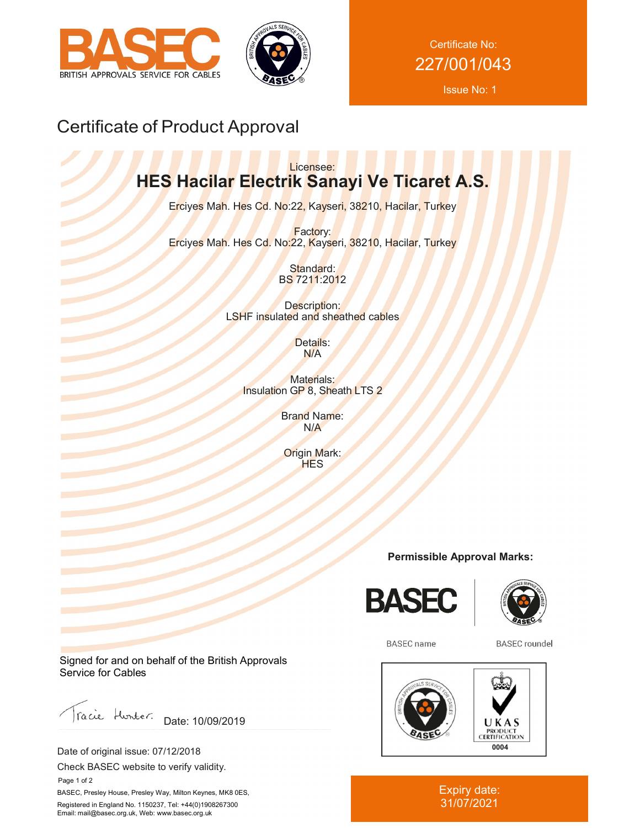



Certificate No: 227/001/043

Issue No: 1

# Certificate of Product Approval

### Licensee: **HES Hacilar Electrik Sanayi Ve Ticaret A.S.**

Erciyes Mah. Hes Cd. No:22, Kayseri, 38210, Hacilar, Turkey

Factory: Erciyes Mah. Hes Cd. No:22, Kayseri, 38210, Hacilar, Turkey

> Standard: BS 7211:2012

Description: LSHF insulated and sheathed cables

> Details: N/A

Materials: Insulation GP 8, Sheath LTS 2

> Brand Name: N/A

Origin Mark: **HES** 

### **Permissible Approval Marks:**





**BASEC** name

**BASEC** roundel



Expiry date: 31/07/2021

Signed for and on behalf of the British Approvals Service for Cables

racie Hunter. Date: 10/09/2019

Date of original issue: 07/12/2018

Check BASEC website to verify validity.

 Page 1 of 2 BASEC, Presley House, Presley Way, Milton Keynes, MK8 0ES, Registered in England No. 1150237, Tel: +44(0)1908267300 Email: mail@basec.org.uk, Web: www.basec.org.uk